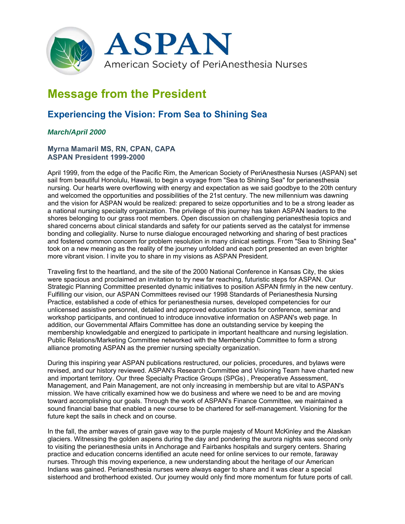

## **Message from the President**

## **Experiencing the Vision: From Sea to Shining Sea**

## *March/April 2000*

## **Myrna Mamaril MS, RN, CPAN, CAPA ASPAN President 1999-2000**

April 1999, from the edge of the Pacific Rim, the American Society of PeriAnesthesia Nurses (ASPAN) set sail from beautiful Honolulu, Hawaii, to begin a voyage from "Sea to Shining Sea" for perianesthesia nursing. Our hearts were overflowing with energy and expectation as we said goodbye to the 20th century and welcomed the opportunities and possibilities of the 21st century. The new millennium was dawning and the vision for ASPAN would be realized: prepared to seize opportunities and to be a strong leader as a national nursing specialty organization. The privilege of this journey has taken ASPAN leaders to the shores belonging to our grass root members. Open discussion on challenging perianesthesia topics and shared concerns about clinical standards and safety for our patients served as the catalyst for immense bonding and collegiality. Nurse to nurse dialogue encouraged networking and sharing of best practices and fostered common concern for problem resolution in many clinical settings. From "Sea to Shining Sea" took on a new meaning as the reality of the journey unfolded and each port presented an even brighter more vibrant vision. I invite you to share in my visions as ASPAN President.

Traveling first to the heartland, and the site of the 2000 National Conference in Kansas City, the skies were spacious and proclaimed an invitation to try new far reaching, futuristic steps for ASPAN. Our Strategic Planning Committee presented dynamic initiatives to position ASPAN firmly in the new century. Fulfilling our vision, our ASPAN Committees revised our 1998 Standards of Perianesthesia Nursing Practice, established a code of ethics for perianesthesia nurses, developed competencies for our unlicensed assistive personnel, detailed and approved education tracks for conference, seminar and workshop participants, and continued to introduce innovative information on ASPAN's web page. In addition, our Governmental Affairs Committee has done an outstanding service by keeping the membership knowledgable and energized to participate in important healthcare and nursing legislation. Public Relations/Marketing Committee networked with the Membership Committee to form a strong alliance promoting ASPAN as the premier nursing specialty organization.

During this inspiring year ASPAN publications restructured, our policies, procedures, and bylaws were revised, and our history reviewed. ASPAN's Research Committee and Visioning Team have charted new and important territory. Our three Specialty Practice Groups (SPGs) , Preoperative Assessment, Management, and Pain Management, are not only increasing in membership but are vital to ASPAN's mission. We have critically examined how we do business and where we need to be and are moving toward accomplishing our goals. Through the work of ASPAN's Finance Committee, we maintained a sound financial base that enabled a new course to be chartered for self-management. Visioning for the future kept the sails in check and on course.

In the fall, the amber waves of grain gave way to the purple majesty of Mount McKinley and the Alaskan glaciers. Witnessing the golden aspens during the day and pondering the aurora nights was second only to visiting the perianesthesia units in Anchorage and Fairbanks hospitals and surgery centers. Sharing practice and education concerns identified an acute need for online services to our remote, faraway nurses. Through this moving experience, a new understanding about the heritage of our American Indians was gained. Perianesthesia nurses were always eager to share and it was clear a special sisterhood and brotherhood existed. Our journey would only find more momentum for future ports of call.